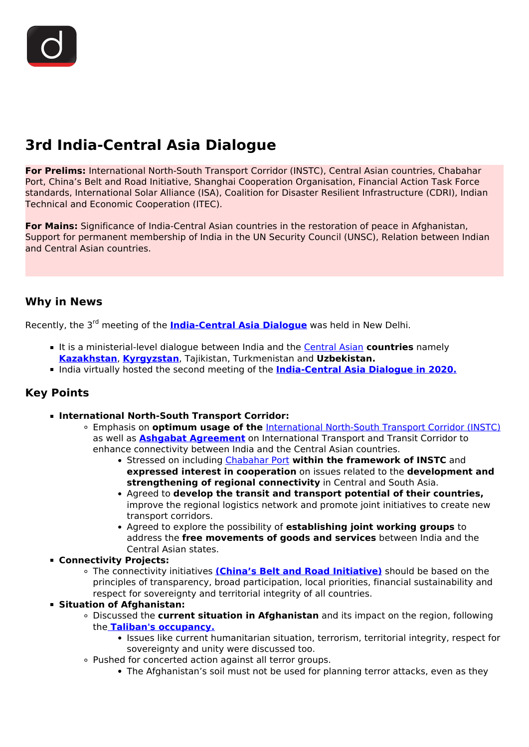# **3rd India-Central Asia Dialogue**

**For Prelims:** International North-South Transport Corridor (INSTC), Central Asian countries, Chabahar Port, China's Belt and Road Initiative, Shanghai Cooperation Organisation, Financial Action Task Force standards, International Solar Alliance (ISA), Coalition for Disaster Resilient Infrastructure (CDRI), Indian Technical and Economic Cooperation (ITEC).

**For Mains:** Significance of India-Central Asian countries in the restoration of peace in Afghanistan, Support for permanent membership of India in the UN Security Council (UNSC), Relation between Indian and Central Asian countries.

# **Why in News**

Recently, the 3rd meeting of the **[India-Central Asia Dialogue](/daily-updates/daily-news-analysis/second-meeting-of-india-central-asia-dialogue)** was held in New Delhi.

- It is a ministerial-level dialogue between India and the **Central Asian countries** namely **[Kazakhstan](/daily-updates/daily-news-analysis/exercise-kazind-2019)**, **[Kyrgyzstan](/daily-updates/daily-news-analysis/india-kyrgyzstan)**, Tajikistan, Turkmenistan and **Uzbekistan.**
- **India virtually hosted the second meeting of the [India-Central Asia Dialogue in 2020.](/daily-updates/daily-news-analysis/second-meeting-of-india-central-asia-dialogue)**

# **Key Points**

- **International North-South Transport Corridor:**
	- Emphasis on **optimum usage of the** [International North-South Transport Corridor \(INSTC\)](/daily-updates/daily-news-analysis/push-for-chabahar-port-in-instc-corridor) as well as **[Ashgabat Agreement](/daily-updates/daily-news-analysis/india-central-asia-dialogue)** on International Transport and Transit Corridor to enhance connectivity between India and the Central Asian countries.
		- Stressed on including [Chabahar Port](/daily-updates/daily-news-analysis/chabahar-project) **within the framework of INSTC** and **expressed interest in cooperation** on issues related to the **development and strengthening of regional connectivity** in Central and South Asia.
		- Agreed to **develop the transit and transport potential of their countries,** improve the regional logistics network and promote joint initiatives to create new transport corridors.
		- Agreed to explore the possibility of **establishing joint working groups** to address the **free movements of goods and services** between India and the Central Asian states.
- **Connectivity Projects:**
	- The connectivity initiatives **[\(China's Belt and Road Initiative\)](/daily-updates/daily-news-editorials/belt-and-road-initiative-perspectives-from-india)** should be based on the principles of transparency, broad participation, local priorities, financial sustainability and respect for sovereignty and territorial integrity of all countries.
- **Situation of Afghanistan:**
	- Discussed the **current situation in Afghanistan** and its impact on the region, following the **[Taliban's occupancy.](/current-affairs-news-analysis-editorials/news-analysis/17-08-2021)**
		- Issues like current humanitarian situation, terrorism, territorial integrity, respect for sovereignty and unity were discussed too.
	- Pushed for concerted action against all terror groups.
		- The Afghanistan's soil must not be used for planning terror attacks, even as they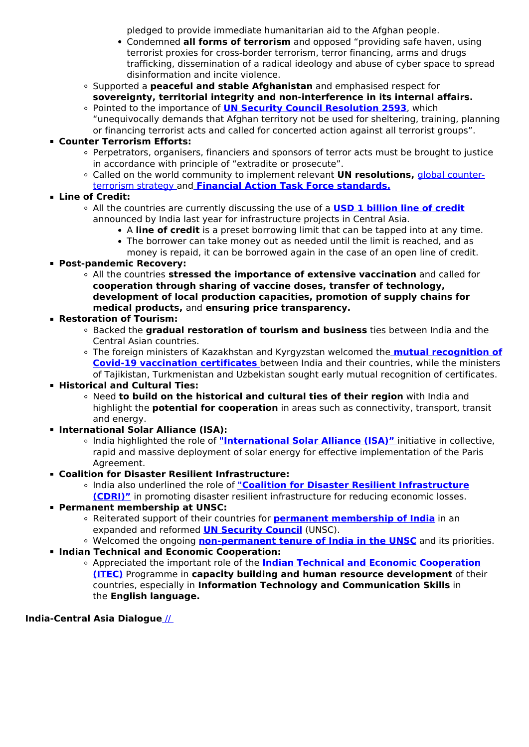pledged to provide immediate humanitarian aid to the Afghan people.

- Condemned **all forms of terrorism** and opposed "providing safe haven, using terrorist proxies for cross-border terrorism, terror financing, arms and drugs trafficking, dissemination of a radical ideology and abuse of cyber space to spread disinformation and incite violence.
- Supported a **peaceful and stable Afghanistan** and emphasised respect for **sovereignty, territorial integrity and non-interference in its internal affairs.**
- Pointed to the importance of **[UN Security Council Resolution 2593](/daily-updates/daily-news-analysis/resolution-2593-on-taliban-unsc)**, which "unequivocally demands that Afghan territory not be used for sheltering, training, planning or financing terrorist acts and called for concerted action against all terrorist groups".

## **Counter Terrorism Efforts:**

- Perpetrators, organisers, financiers and sponsors of terror acts must be brought to justice in accordance with principle of "extradite or prosecute".
- Called on the world community to implement relevant **UN resolutions,** [global counter](/daily-updates/daily-news-analysis/india-s-annual-resolution-on-counter-terror)[terrorism strategy a](/daily-updates/daily-news-analysis/india-s-annual-resolution-on-counter-terror)nd **[Financial Action Task Force standards.](/daily-updates/daily-news-analysis/financial-action-task-force-1)**
- **Line of Credit:**

#### All the countries are currently discussing the use of a **[USD 1 billion line of credit](/daily-updates/daily-news-analysis/second-meeting-of-india-central-asia-dialogue)** announced by India last year for infrastructure projects in Central Asia.

- A **line of credit** is a preset borrowing limit that can be tapped into at any time.
- The borrower can take money out as needed until the limit is reached, and as
- money is repaid, it can be borrowed again in the case of an open line of credit.
- **Post-pandemic Recovery:**
	- All the countries **stressed the importance of extensive vaccination** and called for **cooperation through sharing of vaccine doses, transfer of technology, development of local production capacities, promotion of supply chains for medical products,** and **ensuring price transparency.**

## **Restoration of Tourism:**

- Backed the **gradual restoration of tourism and business** ties between India and the Central Asian countries.
- The foreign ministers of Kazakhstan and Kyrgyzstan welcomed the **[mutual recognition of](/daily-updates/daily-news-analysis/vaccine-passports) [Covid-19 vaccination certificates](/daily-updates/daily-news-analysis/vaccine-passports)** between India and their countries, while the ministers of Tajikistan, Turkmenistan and Uzbekistan sought early mutual recognition of certificates.
- **Historical and Cultural Ties:** 
	- Need **to build on the historical and cultural ties of their region** with India and highlight the **potential for cooperation** in areas such as connectivity, transport, transit and energy.
- **International Solar Alliance (ISA):**
	- India highlighted the role of **["International Solar Alliance \(ISA\)"](/daily-updates/daily-news-analysis/third-assembly-of-isa)** initiative in collective, rapid and massive deployment of solar energy for effective implementation of the Paris Agreement.
- **Coalition for Disaster Resilient Infrastructure:**
	- India also underlined the role of **["Coalition for Disaster Resilient Infrastructure](/daily-updates/daily-news-analysis/coalition-for-disaster-resilient-infrastructure-2#:~:text=The%20Coalition%20for%20Disaster%20Resilient%20Infrastructure%20(CDRI)%20is%20a%20multi,private%20sector%2C%20and%20knowledge%20institutions.) [\(CDRI\)"](/daily-updates/daily-news-analysis/coalition-for-disaster-resilient-infrastructure-2#:~:text=The%20Coalition%20for%20Disaster%20Resilient%20Infrastructure%20(CDRI)%20is%20a%20multi,private%20sector%2C%20and%20knowledge%20institutions.)** in promoting disaster resilient infrastructure for reducing economic losses.
- **Permanent membership at UNSC:**
	- Reiterated support of their countries for **[permanent membership of India](/daily-updates/daily-news-analysis/india-s-case-of-permanent-seat-in-unsc)** in an expanded and reformed **[UN Security Council](/daily-updates/daily-news-analysis/un-security-council-1)** (UNSC).
	- Welcomed the ongoing **[non-permanent tenure of India in the UNSC](/daily-updates/daily-news-analysis/india-assumes-unsc-presidency#:~:text=India%20began%20its%20two%2Dyear,eighth%20term%20on%20the%20UNSC.)** and its priorities.
- **Indian Technical and Economic Cooperation:**
	- Appreciated the important role of the **[Indian Technical and Economic Cooperation](/daily-updates/daily-news-analysis/vice-president-s-visit-to-comoros-and-sierra-leone) [\(ITEC\)](/daily-updates/daily-news-analysis/vice-president-s-visit-to-comoros-and-sierra-leone)** Programme in **capacity building and human resource development** of their countries, especially in **Information Technology and Communication Skills** in the **English language.**

## **India-Central Asia Dialogue** [//](https://www.drishtiias.com/images/uploads/1639995063_Central_Asia_drishti_ias_english.png)